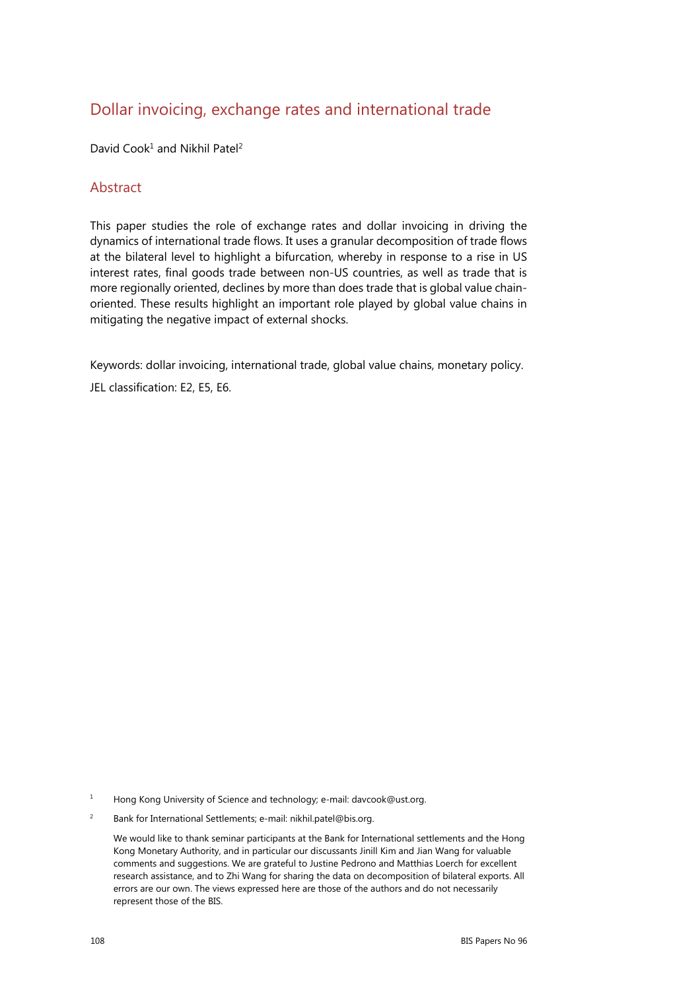# Dollar invoicing, exchange rates and international trade

David Cook<sup>1</sup> and Nikhil Patel<sup>2</sup>

### Abstract

This paper studies the role of exchange rates and dollar invoicing in driving the dynamics of international trade flows. It uses a granular decomposition of trade flows at the bilateral level to highlight a bifurcation, whereby in response to a rise in US interest rates, final goods trade between non-US countries, as well as trade that is more regionally oriented, declines by more than does trade that is global value chainoriented. These results highlight an important role played by global value chains in mitigating the negative impact of external shocks.

Keywords: dollar invoicing, international trade, global value chains, monetary policy.

JEL classification: E2, E5, E6.

1 Hong Kong University of Science and technology; e-mail: davcook@ust.org.

2 Bank for International Settlements; e-mail: nikhil.patel@bis.org.

 We would like to thank seminar participants at the Bank for International settlements and the Hong Kong Monetary Authority, and in particular our discussants Jinill Kim and Jian Wang for valuable comments and suggestions. We are grateful to Justine Pedrono and Matthias Loerch for excellent research assistance, and to Zhi Wang for sharing the data on decomposition of bilateral exports. All errors are our own. The views expressed here are those of the authors and do not necessarily represent those of the BIS.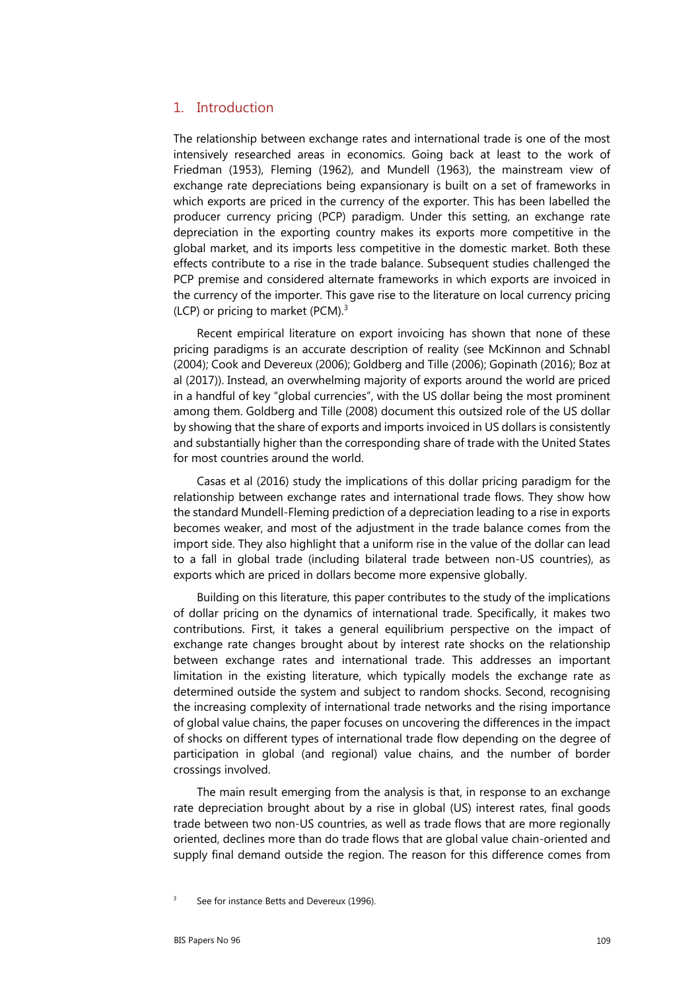#### 1. Introduction

The relationship between exchange rates and international trade is one of the most intensively researched areas in economics. Going back at least to the work of Friedman (1953), Fleming (1962), and Mundell (1963), the mainstream view of exchange rate depreciations being expansionary is built on a set of frameworks in which exports are priced in the currency of the exporter. This has been labelled the producer currency pricing (PCP) paradigm. Under this setting, an exchange rate depreciation in the exporting country makes its exports more competitive in the global market, and its imports less competitive in the domestic market. Both these effects contribute to a rise in the trade balance. Subsequent studies challenged the PCP premise and considered alternate frameworks in which exports are invoiced in the currency of the importer. This gave rise to the literature on local currency pricing (LCP) or pricing to market (PCM).3

Recent empirical literature on export invoicing has shown that none of these pricing paradigms is an accurate description of reality (see McKinnon and Schnabl (2004); Cook and Devereux (2006); Goldberg and Tille (2006); Gopinath (2016); Boz at al (2017)). Instead, an overwhelming majority of exports around the world are priced in a handful of key "global currencies", with the US dollar being the most prominent among them. Goldberg and Tille (2008) document this outsized role of the US dollar by showing that the share of exports and imports invoiced in US dollars is consistently and substantially higher than the corresponding share of trade with the United States for most countries around the world.

Casas et al (2016) study the implications of this dollar pricing paradigm for the relationship between exchange rates and international trade flows. They show how the standard Mundell-Fleming prediction of a depreciation leading to a rise in exports becomes weaker, and most of the adjustment in the trade balance comes from the import side. They also highlight that a uniform rise in the value of the dollar can lead to a fall in global trade (including bilateral trade between non-US countries), as exports which are priced in dollars become more expensive globally.

Building on this literature, this paper contributes to the study of the implications of dollar pricing on the dynamics of international trade. Specifically, it makes two contributions. First, it takes a general equilibrium perspective on the impact of exchange rate changes brought about by interest rate shocks on the relationship between exchange rates and international trade. This addresses an important limitation in the existing literature, which typically models the exchange rate as determined outside the system and subject to random shocks. Second, recognising the increasing complexity of international trade networks and the rising importance of global value chains, the paper focuses on uncovering the differences in the impact of shocks on different types of international trade flow depending on the degree of participation in global (and regional) value chains, and the number of border crossings involved.

The main result emerging from the analysis is that, in response to an exchange rate depreciation brought about by a rise in global (US) interest rates, final goods trade between two non-US countries, as well as trade flows that are more regionally oriented, declines more than do trade flows that are global value chain-oriented and supply final demand outside the region. The reason for this difference comes from

<sup>3</sup> See for instance Betts and Devereux (1996).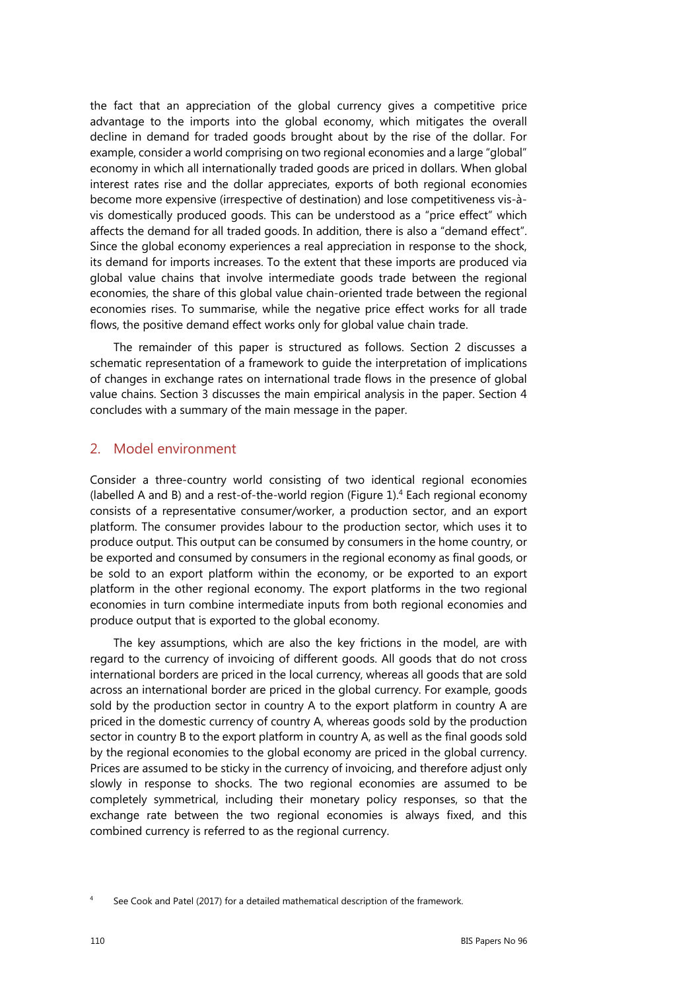the fact that an appreciation of the global currency gives a competitive price advantage to the imports into the global economy, which mitigates the overall decline in demand for traded goods brought about by the rise of the dollar. For example, consider a world comprising on two regional economies and a large "global" economy in which all internationally traded goods are priced in dollars. When global interest rates rise and the dollar appreciates, exports of both regional economies become more expensive (irrespective of destination) and lose competitiveness vis-àvis domestically produced goods. This can be understood as a "price effect" which affects the demand for all traded goods. In addition, there is also a "demand effect". Since the global economy experiences a real appreciation in response to the shock, its demand for imports increases. To the extent that these imports are produced via global value chains that involve intermediate goods trade between the regional economies, the share of this global value chain-oriented trade between the regional economies rises. To summarise, while the negative price effect works for all trade flows, the positive demand effect works only for global value chain trade.

The remainder of this paper is structured as follows. Section 2 discusses a schematic representation of a framework to guide the interpretation of implications of changes in exchange rates on international trade flows in the presence of global value chains. Section 3 discusses the main empirical analysis in the paper. Section 4 concludes with a summary of the main message in the paper.

### 2. Model environment

Consider a three-country world consisting of two identical regional economies (labelled A and B) and a rest-of-the-world region (Figure  $1$ ).<sup>4</sup> Each regional economy consists of a representative consumer/worker, a production sector, and an export platform. The consumer provides labour to the production sector, which uses it to produce output. This output can be consumed by consumers in the home country, or be exported and consumed by consumers in the regional economy as final goods, or be sold to an export platform within the economy, or be exported to an export platform in the other regional economy. The export platforms in the two regional economies in turn combine intermediate inputs from both regional economies and produce output that is exported to the global economy.

The key assumptions, which are also the key frictions in the model, are with regard to the currency of invoicing of different goods. All goods that do not cross international borders are priced in the local currency, whereas all goods that are sold across an international border are priced in the global currency. For example, goods sold by the production sector in country A to the export platform in country A are priced in the domestic currency of country A, whereas goods sold by the production sector in country B to the export platform in country A, as well as the final goods sold by the regional economies to the global economy are priced in the global currency. Prices are assumed to be sticky in the currency of invoicing, and therefore adjust only slowly in response to shocks. The two regional economies are assumed to be completely symmetrical, including their monetary policy responses, so that the exchange rate between the two regional economies is always fixed, and this combined currency is referred to as the regional currency.

<sup>4</sup> See Cook and Patel (2017) for a detailed mathematical description of the framework.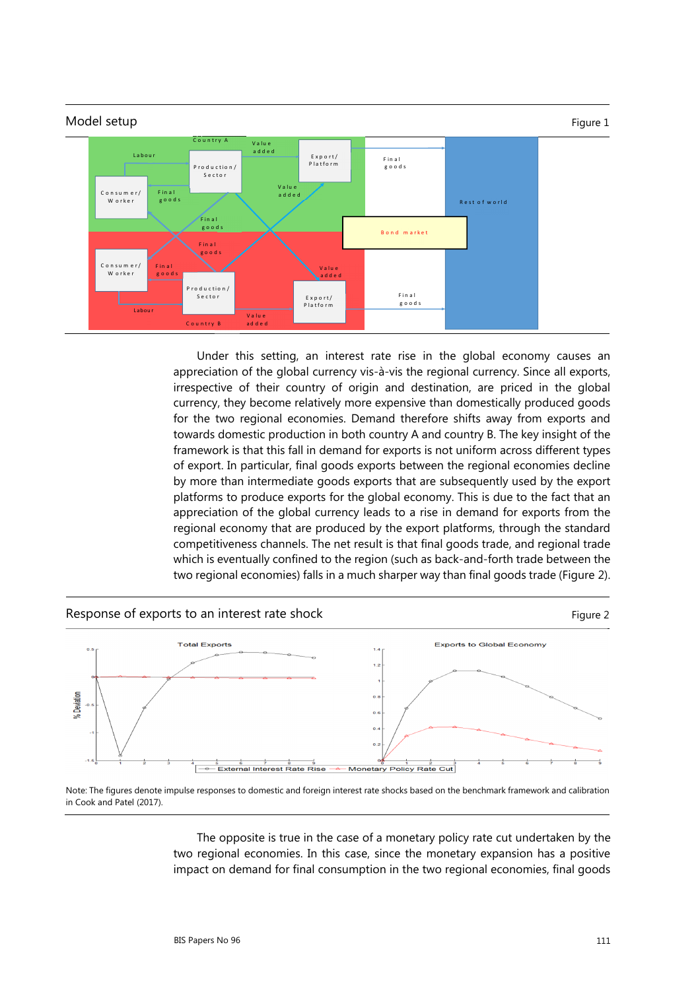

Under this setting, an interest rate rise in the global economy causes an appreciation of the global currency vis-à-vis the regional currency. Since all exports, irrespective of their country of origin and destination, are priced in the global currency, they become relatively more expensive than domestically produced goods for the two regional economies. Demand therefore shifts away from exports and towards domestic production in both country A and country B. The key insight of the framework is that this fall in demand for exports is not uniform across different types of export. In particular, final goods exports between the regional economies decline by more than intermediate goods exports that are subsequently used by the export platforms to produce exports for the global economy. This is due to the fact that an appreciation of the global currency leads to a rise in demand for exports from the regional economy that are produced by the export platforms, through the standard competitiveness channels. The net result is that final goods trade, and regional trade which is eventually confined to the region (such as back-and-forth trade between the two regional economies) falls in a much sharper way than final goods trade (Figure 2).



Note: The figures denote impulse responses to domestic and foreign interest rate shocks based on the benchmark framework and calibration in Cook and Patel (2017).

The opposite is true in the case of a monetary policy rate cut undertaken by the two regional economies. In this case, since the monetary expansion has a positive impact on demand for final consumption in the two regional economies, final goods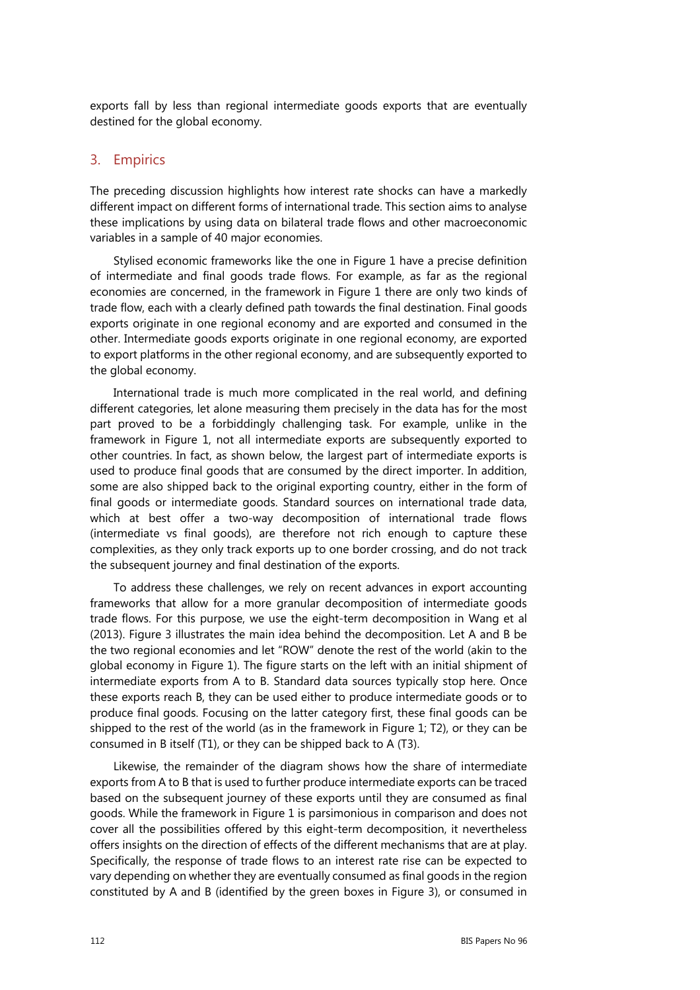exports fall by less than regional intermediate goods exports that are eventually destined for the global economy.

### 3. Empirics

The preceding discussion highlights how interest rate shocks can have a markedly different impact on different forms of international trade. This section aims to analyse these implications by using data on bilateral trade flows and other macroeconomic variables in a sample of 40 major economies.

Stylised economic frameworks like the one in Figure 1 have a precise definition of intermediate and final goods trade flows. For example, as far as the regional economies are concerned, in the framework in Figure 1 there are only two kinds of trade flow, each with a clearly defined path towards the final destination. Final goods exports originate in one regional economy and are exported and consumed in the other. Intermediate goods exports originate in one regional economy, are exported to export platforms in the other regional economy, and are subsequently exported to the global economy.

International trade is much more complicated in the real world, and defining different categories, let alone measuring them precisely in the data has for the most part proved to be a forbiddingly challenging task. For example, unlike in the framework in Figure 1, not all intermediate exports are subsequently exported to other countries. In fact, as shown below, the largest part of intermediate exports is used to produce final goods that are consumed by the direct importer. In addition, some are also shipped back to the original exporting country, either in the form of final goods or intermediate goods. Standard sources on international trade data, which at best offer a two-way decomposition of international trade flows (intermediate vs final goods), are therefore not rich enough to capture these complexities, as they only track exports up to one border crossing, and do not track the subsequent journey and final destination of the exports.

To address these challenges, we rely on recent advances in export accounting frameworks that allow for a more granular decomposition of intermediate goods trade flows. For this purpose, we use the eight-term decomposition in Wang et al (2013). Figure 3 illustrates the main idea behind the decomposition. Let A and B be the two regional economies and let "ROW" denote the rest of the world (akin to the global economy in Figure 1). The figure starts on the left with an initial shipment of intermediate exports from A to B. Standard data sources typically stop here. Once these exports reach B, they can be used either to produce intermediate goods or to produce final goods. Focusing on the latter category first, these final goods can be shipped to the rest of the world (as in the framework in Figure 1; T2), or they can be consumed in B itself (T1), or they can be shipped back to A (T3).

Likewise, the remainder of the diagram shows how the share of intermediate exports from A to B that is used to further produce intermediate exports can be traced based on the subsequent journey of these exports until they are consumed as final goods. While the framework in Figure 1 is parsimonious in comparison and does not cover all the possibilities offered by this eight-term decomposition, it nevertheless offers insights on the direction of effects of the different mechanisms that are at play. Specifically, the response of trade flows to an interest rate rise can be expected to vary depending on whether they are eventually consumed as final goods in the region constituted by A and B (identified by the green boxes in Figure 3), or consumed in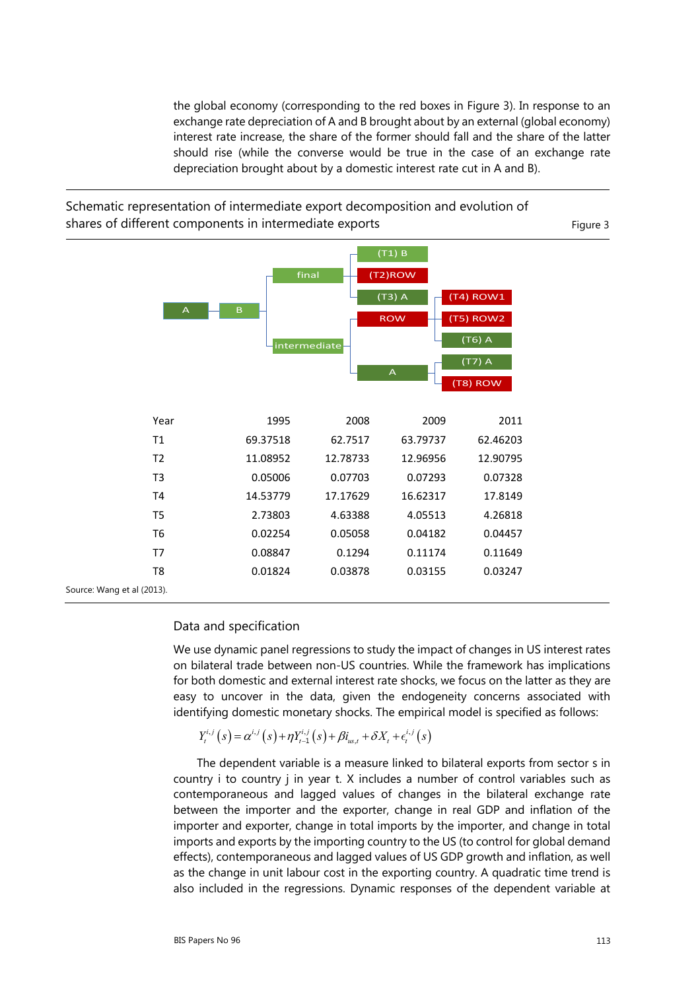the global economy (corresponding to the red boxes in Figure 3). In response to an exchange rate depreciation of A and B brought about by an external (global economy) interest rate increase, the share of the former should fall and the share of the latter should rise (while the converse would be true in the case of an exchange rate depreciation brought about by a domestic interest rate cut in A and B).



Schematic representation of intermediate export decomposition and evolution of

#### Data and specification

We use dynamic panel regressions to study the impact of changes in US interest rates on bilateral trade between non-US countries. While the framework has implications for both domestic and external interest rate shocks, we focus on the latter as they are easy to uncover in the data, given the endogeneity concerns associated with identifying domestic monetary shocks. The empirical model is specified as follows:

$$
Y_t^{i,j}(s) = \alpha^{i,j}(s) + \eta Y_{t-1}^{i,j}(s) + \beta i_{us,t} + \delta X_t + \epsilon_t^{i,j}(s)
$$

The dependent variable is a measure linked to bilateral exports from sector s in country i to country j in year t. X includes a number of control variables such as contemporaneous and lagged values of changes in the bilateral exchange rate between the importer and the exporter, change in real GDP and inflation of the importer and exporter, change in total imports by the importer, and change in total imports and exports by the importing country to the US (to control for global demand effects), contemporaneous and lagged values of US GDP growth and inflation, as well as the change in unit labour cost in the exporting country. A quadratic time trend is also included in the regressions. Dynamic responses of the dependent variable at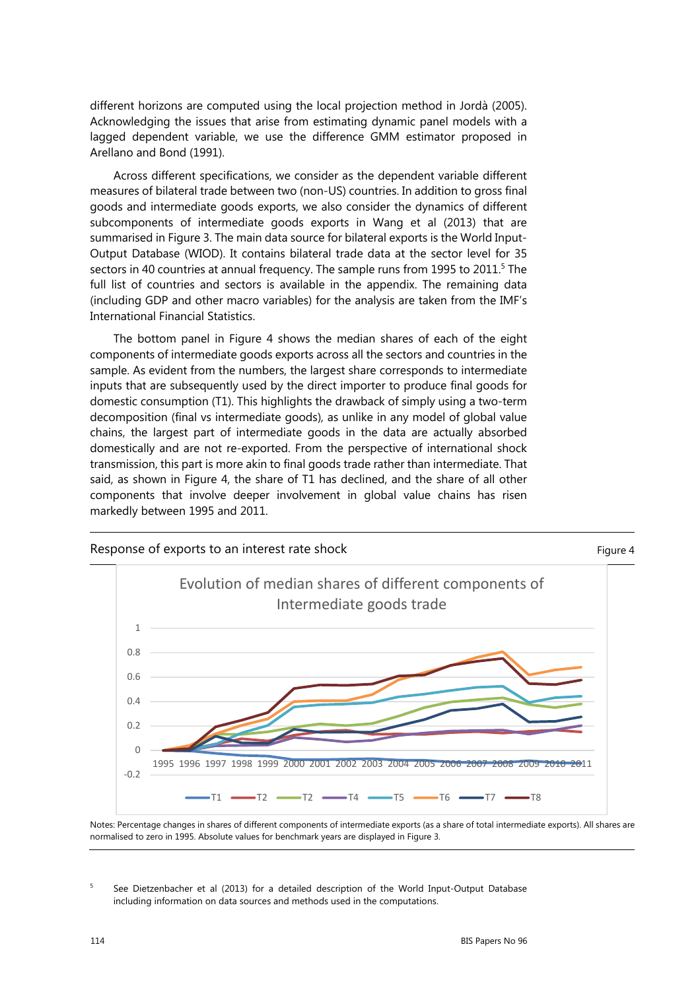different horizons are computed using the local projection method in Jordà (2005). Acknowledging the issues that arise from estimating dynamic panel models with a lagged dependent variable, we use the difference GMM estimator proposed in Arellano and Bond (1991).

Across different specifications, we consider as the dependent variable different measures of bilateral trade between two (non-US) countries. In addition to gross final goods and intermediate goods exports, we also consider the dynamics of different subcomponents of intermediate goods exports in Wang et al (2013) that are summarised in Figure 3. The main data source for bilateral exports is the World Input-Output Database (WIOD). It contains bilateral trade data at the sector level for 35 sectors in 40 countries at annual frequency. The sample runs from 1995 to 2011.<sup>5</sup> The full list of countries and sectors is available in the appendix. The remaining data (including GDP and other macro variables) for the analysis are taken from the IMF's International Financial Statistics.

The bottom panel in Figure 4 shows the median shares of each of the eight components of intermediate goods exports across all the sectors and countries in the sample. As evident from the numbers, the largest share corresponds to intermediate inputs that are subsequently used by the direct importer to produce final goods for domestic consumption (T1). This highlights the drawback of simply using a two-term decomposition (final vs intermediate goods), as unlike in any model of global value chains, the largest part of intermediate goods in the data are actually absorbed domestically and are not re-exported. From the perspective of international shock transmission, this part is more akin to final goods trade rather than intermediate. That said, as shown in Figure 4, the share of T1 has declined, and the share of all other components that involve deeper involvement in global value chains has risen markedly between 1995 and 2011.



Notes: Percentage changes in shares of different components of intermediate exports (as a share of total intermediate exports). All shares are normalised to zero in 1995. Absolute values for benchmark years are displayed in Figure 3.

5 See Dietzenbacher et al (2013) for a detailed description of the World Input-Output Database including information on data sources and methods used in the computations.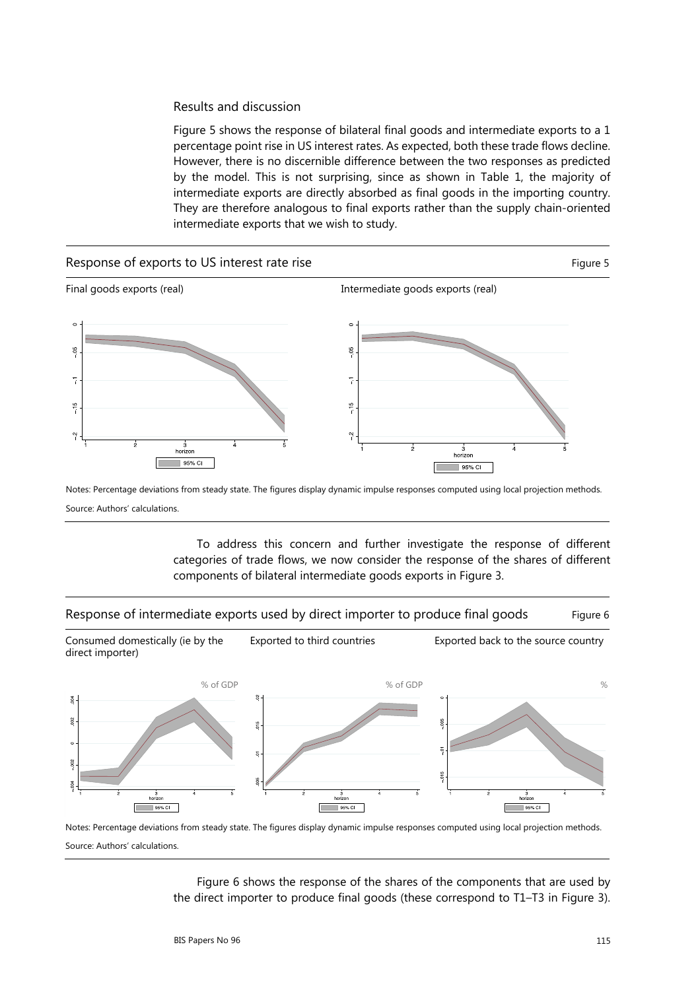#### Results and discussion

Figure 5 shows the response of bilateral final goods and intermediate exports to a 1 percentage point rise in US interest rates. As expected, both these trade flows decline. However, there is no discernible difference between the two responses as predicted by the model. This is not surprising, since as shown in Table 1, the majority of intermediate exports are directly absorbed as final goods in the importing country. They are therefore analogous to final exports rather than the supply chain-oriented intermediate exports that we wish to study.



Notes: Percentage deviations from steady state. The figures display dynamic impulse responses computed using local projection methods. Source: Authors' calculations.

> To address this concern and further investigate the response of different categories of trade flows, we now consider the response of the shares of different components of bilateral intermediate goods exports in Figure 3.

Response of intermediate exports used by direct importer to produce final goods Figure 6



Notes: Percentage deviations from steady state. The figures display dynamic impulse responses computed using local projection methods. Source: Authors' calculations.

Figure 6 shows the response of the shares of the components that are used by the direct importer to produce final goods (these correspond to T1–T3 in Figure 3).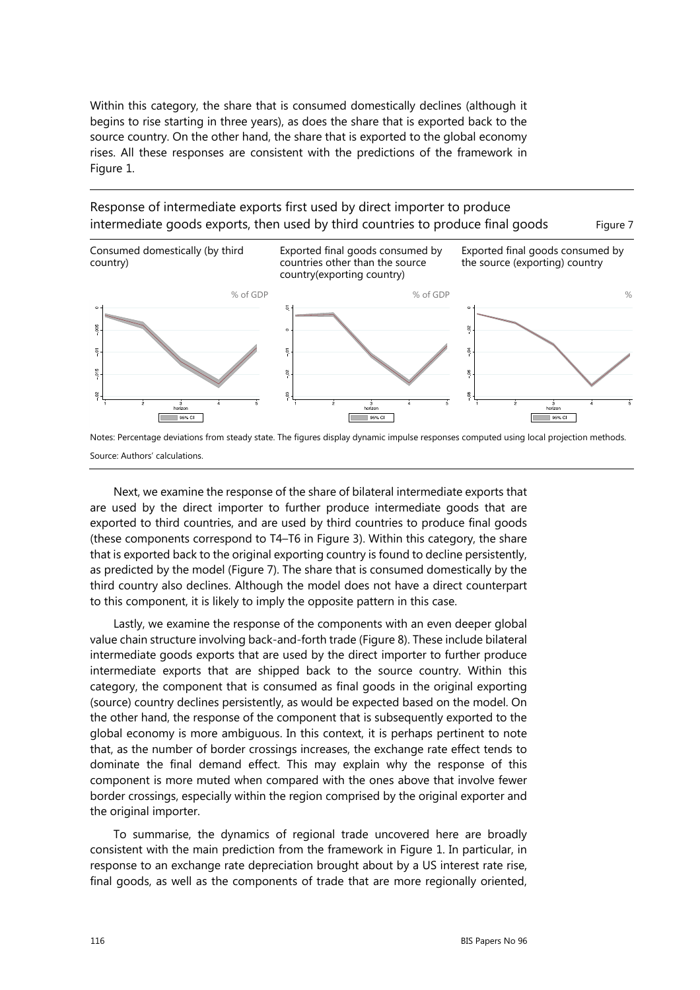Within this category, the share that is consumed domestically declines (although it begins to rise starting in three years), as does the share that is exported back to the source country. On the other hand, the share that is exported to the global economy rises. All these responses are consistent with the predictions of the framework in Figure 1.

Response of intermediate exports first used by direct importer to produce intermediate goods exports, then used by third countries to produce final goods Figure 7



Notes: Percentage deviations from steady state. The figures display dynamic impulse responses computed using local projection methods. Source: Authors' calculations.

Next, we examine the response of the share of bilateral intermediate exports that are used by the direct importer to further produce intermediate goods that are exported to third countries, and are used by third countries to produce final goods (these components correspond to T4–T6 in Figure 3). Within this category, the share that is exported back to the original exporting country is found to decline persistently, as predicted by the model (Figure 7). The share that is consumed domestically by the third country also declines. Although the model does not have a direct counterpart to this component, it is likely to imply the opposite pattern in this case.

Lastly, we examine the response of the components with an even deeper global value chain structure involving back-and-forth trade (Figure 8). These include bilateral intermediate goods exports that are used by the direct importer to further produce intermediate exports that are shipped back to the source country. Within this category, the component that is consumed as final goods in the original exporting (source) country declines persistently, as would be expected based on the model. On the other hand, the response of the component that is subsequently exported to the global economy is more ambiguous. In this context, it is perhaps pertinent to note that, as the number of border crossings increases, the exchange rate effect tends to dominate the final demand effect. This may explain why the response of this component is more muted when compared with the ones above that involve fewer border crossings, especially within the region comprised by the original exporter and the original importer.

To summarise, the dynamics of regional trade uncovered here are broadly consistent with the main prediction from the framework in Figure 1. In particular, in response to an exchange rate depreciation brought about by a US interest rate rise, final goods, as well as the components of trade that are more regionally oriented,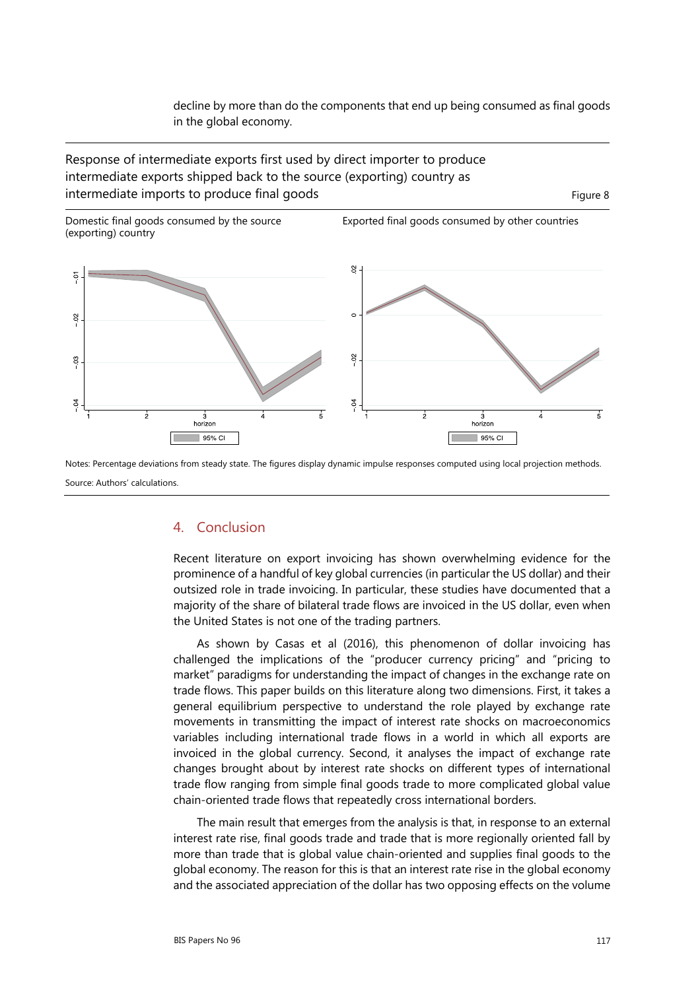decline by more than do the components that end up being consumed as final goods in the global economy.

Response of intermediate exports first used by direct importer to produce intermediate exports shipped back to the source (exporting) country as intermediate imports to produce final goods Figure 8



Exported final goods consumed by other countries



Notes: Percentage deviations from steady state. The figures display dynamic impulse responses computed using local projection methods. Source: Authors' calculations.

#### 4. Conclusion

Recent literature on export invoicing has shown overwhelming evidence for the prominence of a handful of key global currencies (in particular the US dollar) and their outsized role in trade invoicing. In particular, these studies have documented that a majority of the share of bilateral trade flows are invoiced in the US dollar, even when the United States is not one of the trading partners.

As shown by Casas et al (2016), this phenomenon of dollar invoicing has challenged the implications of the "producer currency pricing" and "pricing to market" paradigms for understanding the impact of changes in the exchange rate on trade flows. This paper builds on this literature along two dimensions. First, it takes a general equilibrium perspective to understand the role played by exchange rate movements in transmitting the impact of interest rate shocks on macroeconomics variables including international trade flows in a world in which all exports are invoiced in the global currency. Second, it analyses the impact of exchange rate changes brought about by interest rate shocks on different types of international trade flow ranging from simple final goods trade to more complicated global value chain-oriented trade flows that repeatedly cross international borders.

The main result that emerges from the analysis is that, in response to an external interest rate rise, final goods trade and trade that is more regionally oriented fall by more than trade that is global value chain-oriented and supplies final goods to the global economy. The reason for this is that an interest rate rise in the global economy and the associated appreciation of the dollar has two opposing effects on the volume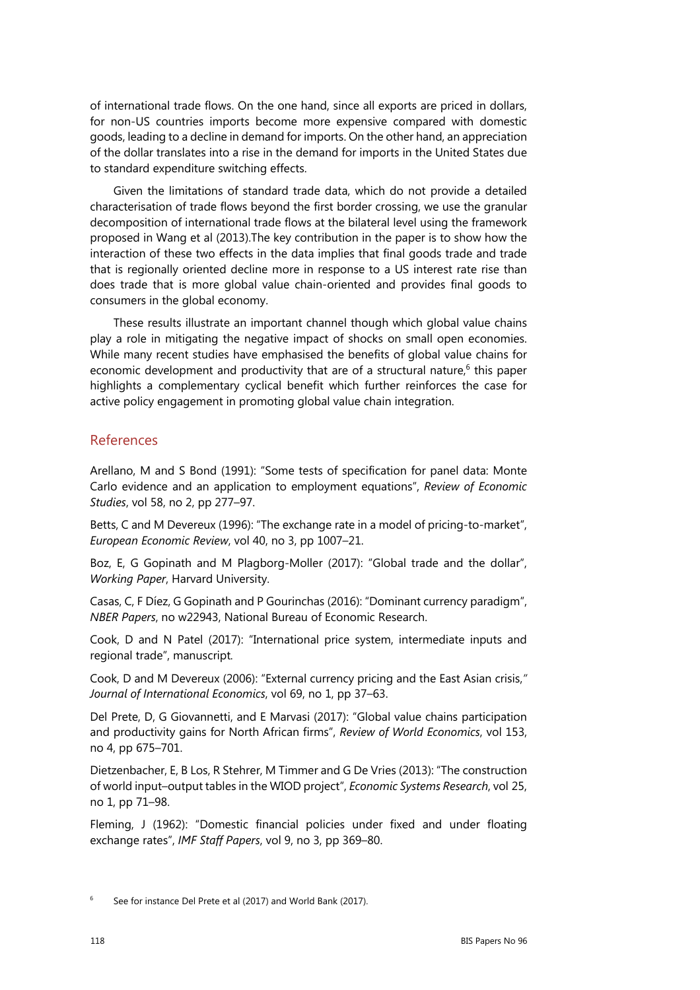of international trade flows. On the one hand, since all exports are priced in dollars, for non-US countries imports become more expensive compared with domestic goods, leading to a decline in demand for imports. On the other hand, an appreciation of the dollar translates into a rise in the demand for imports in the United States due to standard expenditure switching effects.

Given the limitations of standard trade data, which do not provide a detailed characterisation of trade flows beyond the first border crossing, we use the granular decomposition of international trade flows at the bilateral level using the framework proposed in Wang et al (2013).The key contribution in the paper is to show how the interaction of these two effects in the data implies that final goods trade and trade that is regionally oriented decline more in response to a US interest rate rise than does trade that is more global value chain-oriented and provides final goods to consumers in the global economy.

These results illustrate an important channel though which global value chains play a role in mitigating the negative impact of shocks on small open economies. While many recent studies have emphasised the benefits of global value chains for economic development and productivity that are of a structural nature, $6$  this paper highlights a complementary cyclical benefit which further reinforces the case for active policy engagement in promoting global value chain integration.

### References

Arellano, M and S Bond (1991): "Some tests of specification for panel data: Monte Carlo evidence and an application to employment equations", *Review of Economic Studies*, vol 58, no 2, pp 277–97.

Betts, C and M Devereux (1996): "The exchange rate in a model of pricing-to-market", *European Economic Review*, vol 40, no 3, pp 1007–21.

Boz, E, G Gopinath and M Plagborg-Moller (2017): "Global trade and the dollar", *Working Paper*, Harvard University.

Casas, C, F Díez, G Gopinath and P Gourinchas (2016): "Dominant currency paradigm", *NBER Papers*, no w22943, National Bureau of Economic Research.

Cook, D and N Patel (2017): "International price system, intermediate inputs and regional trade", manuscript*.* 

Cook, D and M Devereux (2006): "External currency pricing and the East Asian crisis,*" Journal of International Economics*, vol 69, no 1, pp 37–63.

Del Prete, D, G Giovannetti, and E Marvasi (2017): "Global value chains participation and productivity gains for North African firms", *Review of World Economics*, vol 153, no 4, pp 675–701.

Dietzenbacher, E, B Los, R Stehrer, M Timmer and G De Vries (2013): "The construction of world input–output tables in the WIOD project", *Economic Systems Research*, vol 25, no 1, pp 71–98.

Fleming, J (1962): "Domestic financial policies under fixed and under floating exchange rates", *IMF Staff Papers*, vol 9, no 3, pp 369–80.

<sup>6</sup> See for instance Del Prete et al (2017) and World Bank (2017).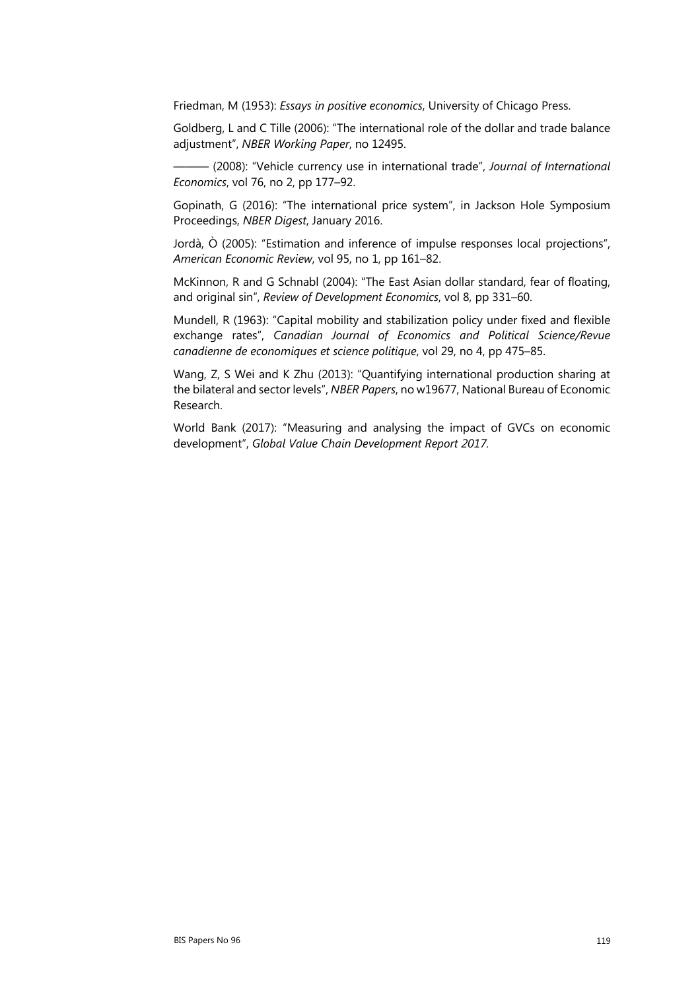Friedman, M (1953): *Essays in positive economics*, University of Chicago Press.

Goldberg, L and C Tille (2006): "The international role of the dollar and trade balance adjustment", *NBER Working Paper*, no 12495.

——— (2008): "Vehicle currency use in international trade", *Journal of International Economics*, vol 76, no 2, pp 177–92.

Gopinath, G (2016): "The international price system", in Jackson Hole Symposium Proceedings, *NBER Digest*, January 2016.

Jordà, Ò (2005): "Estimation and inference of impulse responses local projections", *American Economic Review*, vol 95, no 1, pp 161–82.

McKinnon, R and G Schnabl (2004): "The East Asian dollar standard, fear of floating, and original sin", *Review of Development Economics*, vol 8, pp 331–60.

Mundell, R (1963): "Capital mobility and stabilization policy under fixed and flexible exchange rates", *Canadian Journal of Economics and Political Science/Revue canadienne de economiques et science politique*, vol 29, no 4, pp 475–85.

Wang, Z, S Wei and K Zhu (2013): "Quantifying international production sharing at the bilateral and sector levels", *NBER Papers*, no w19677, National Bureau of Economic Research.

World Bank (2017): "Measuring and analysing the impact of GVCs on economic development", *Global Value Chain Development Report 2017.*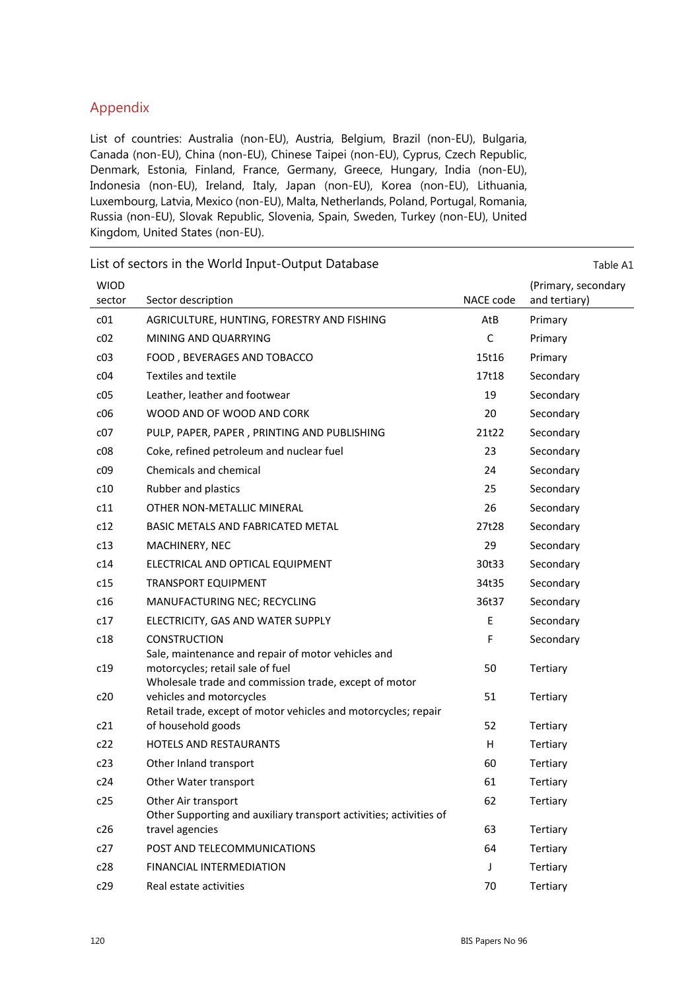## Appendix

List of countries: Australia (non-EU), Austria, Belgium, Brazil (non-EU), Bulgaria, Canada (non-EU), China (non-EU), Chinese Taipei (non-EU), Cyprus, Czech Republic, Denmark, Estonia, Finland, France, Germany, Greece, Hungary, India (non-EU), Indonesia (non-EU), Ireland, Italy, Japan (non-EU), Korea (non-EU), Lithuania, Luxembourg, Latvia, Mexico (non-EU), Malta, Netherlands, Poland, Portugal, Romania, Russia (non-EU), Slovak Republic, Slovenia, Spain, Sweden, Turkey (non-EU), United Kingdom, United States (non-EU).

|                       | List of sectors in the world mpat Catpat Database                                                                                               |             | iavic A±                             |
|-----------------------|-------------------------------------------------------------------------------------------------------------------------------------------------|-------------|--------------------------------------|
| <b>WIOD</b><br>sector | Sector description                                                                                                                              | NACE code   | (Primary, secondary<br>and tertiary) |
| c01                   | AGRICULTURE, HUNTING, FORESTRY AND FISHING                                                                                                      | AtB         | Primary                              |
| c02                   | MINING AND QUARRYING                                                                                                                            | $\mathsf C$ | Primary                              |
| c03                   | FOOD, BEVERAGES AND TOBACCO                                                                                                                     | 15t16       | Primary                              |
| c04                   | <b>Textiles and textile</b>                                                                                                                     | 17t18       | Secondary                            |
| c05                   | Leather, leather and footwear                                                                                                                   | 19          | Secondary                            |
| c06                   | WOOD AND OF WOOD AND CORK                                                                                                                       | 20          | Secondary                            |
| c07                   | PULP, PAPER, PAPER, PRINTING AND PUBLISHING                                                                                                     | 21t22       | Secondary                            |
| c08                   | Coke, refined petroleum and nuclear fuel                                                                                                        | 23          | Secondary                            |
| c09                   | Chemicals and chemical                                                                                                                          | 24          | Secondary                            |
| c10                   | Rubber and plastics                                                                                                                             | 25          | Secondary                            |
| c11                   | OTHER NON-METALLIC MINERAL                                                                                                                      | 26          | Secondary                            |
| c12                   | <b>BASIC METALS AND FABRICATED METAL</b>                                                                                                        | 27t28       | Secondary                            |
| c13                   | MACHINERY, NEC                                                                                                                                  | 29          | Secondary                            |
| c14                   | ELECTRICAL AND OPTICAL EQUIPMENT                                                                                                                | 30t33       | Secondary                            |
| c15                   | <b>TRANSPORT EQUIPMENT</b>                                                                                                                      | 34t35       | Secondary                            |
| c16                   | MANUFACTURING NEC; RECYCLING                                                                                                                    | 36t37       | Secondary                            |
| c17                   | ELECTRICITY, GAS AND WATER SUPPLY                                                                                                               | E           | Secondary                            |
| c18                   | <b>CONSTRUCTION</b>                                                                                                                             | F           | Secondary                            |
| c19                   | Sale, maintenance and repair of motor vehicles and<br>motorcycles; retail sale of fuel<br>Wholesale trade and commission trade, except of motor | 50          | Tertiary                             |
| c20                   | vehicles and motorcycles<br>Retail trade, except of motor vehicles and motorcycles; repair                                                      | 51          | Tertiary                             |
| c21                   | of household goods                                                                                                                              | 52          | Tertiary                             |
| c22                   | <b>HOTELS AND RESTAURANTS</b>                                                                                                                   | H           | Tertiary                             |
| c23                   | Other Inland transport                                                                                                                          | 60          | Tertiary                             |
| c24                   | Other Water transport                                                                                                                           | 61          | Tertiary                             |
| c25                   | Other Air transport<br>Other Supporting and auxiliary transport activities; activities of                                                       | 62          | Tertiary                             |
| c26                   | travel agencies                                                                                                                                 | 63          | Tertiary                             |
| c27                   | POST AND TELECOMMUNICATIONS                                                                                                                     | 64          | Tertiary                             |
| c28                   | <b>FINANCIAL INTERMEDIATION</b>                                                                                                                 | J           | Tertiary                             |
| c29                   | Real estate activities                                                                                                                          | 70          | Tertiary                             |

List of sectors in the World Input-Output Database Table A1